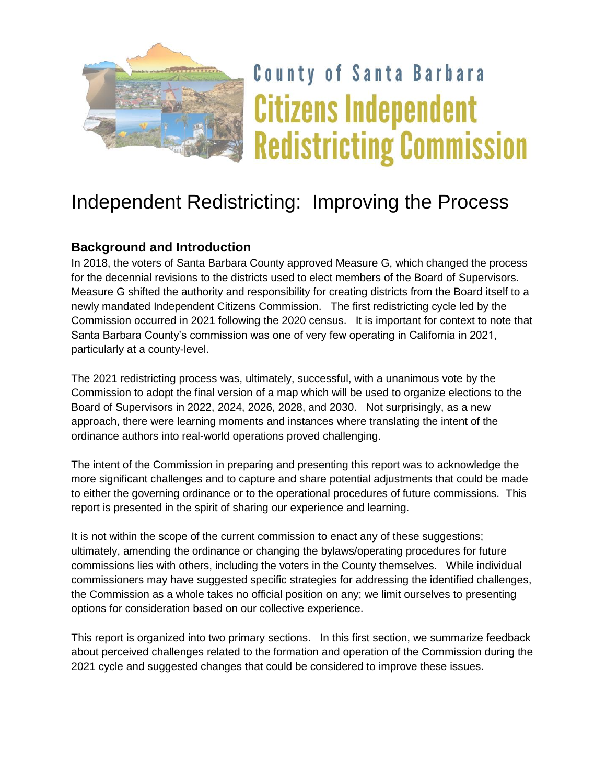

# **County of Santa Barbara Citizens Independent Redistricting Commission**

## Independent Redistricting: Improving the Process

#### **Background and Introduction**

In 2018, the voters of Santa Barbara County approved Measure G, which changed the process for the decennial revisions to the districts used to elect members of the Board of Supervisors. Measure G shifted the authority and responsibility for creating districts from the Board itself to a newly mandated Independent Citizens Commission. The first redistricting cycle led by the Commission occurred in 2021 following the 2020 census. It is important for context to note that Santa Barbara County's commission was one of very few operating in California in 2021, particularly at a county-level.

The 2021 redistricting process was, ultimately, successful, with a unanimous vote by the Commission to adopt the final version of a map which will be used to organize elections to the Board of Supervisors in 2022, 2024, 2026, 2028, and 2030. Not surprisingly, as a new approach, there were learning moments and instances where translating the intent of the ordinance authors into real-world operations proved challenging.

The intent of the Commission in preparing and presenting this report was to acknowledge the more significant challenges and to capture and share potential adjustments that could be made to either the governing ordinance or to the operational procedures of future commissions. This report is presented in the spirit of sharing our experience and learning.

It is not within the scope of the current commission to enact any of these suggestions; ultimately, amending the ordinance or changing the bylaws/operating procedures for future commissions lies with others, including the voters in the County themselves. While individual commissioners may have suggested specific strategies for addressing the identified challenges, the Commission as a whole takes no official position on any; we limit ourselves to presenting options for consideration based on our collective experience.

This report is organized into two primary sections. In this first section, we summarize feedback about perceived challenges related to the formation and operation of the Commission during the 2021 cycle and suggested changes that could be considered to improve these issues.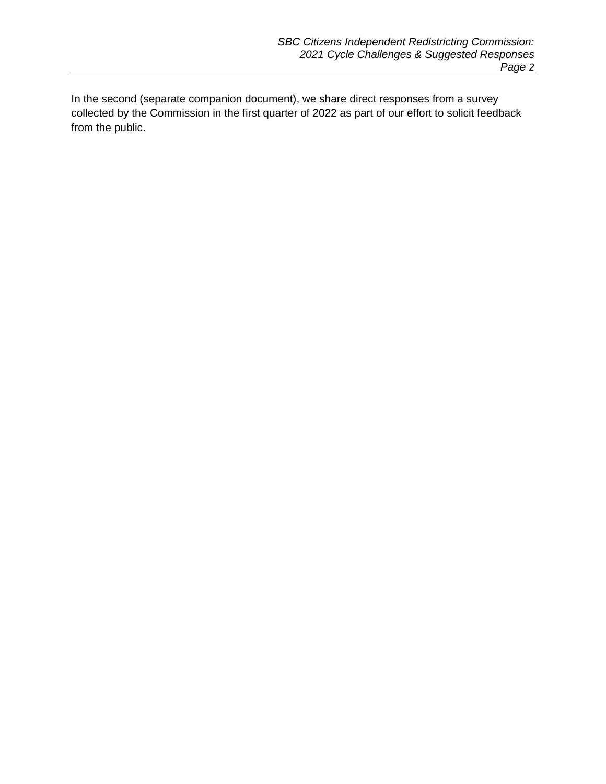In the second (separate companion document), we share direct responses from a survey collected by the Commission in the first quarter of 2022 as part of our effort to solicit feedback from the public.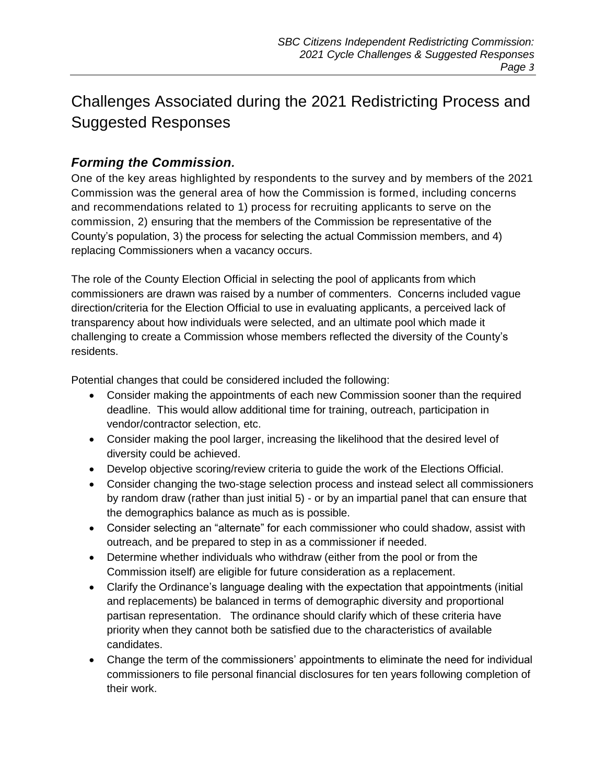### Challenges Associated during the 2021 Redistricting Process and Suggested Responses

#### *Forming the Commission.*

One of the key areas highlighted by respondents to the survey and by members of the 2021 Commission was the general area of how the Commission is formed, including concerns and recommendations related to 1) process for recruiting applicants to serve on the commission, 2) ensuring that the members of the Commission be representative of the County's population, 3) the process for selecting the actual Commission members, and 4) replacing Commissioners when a vacancy occurs.

The role of the County Election Official in selecting the pool of applicants from which commissioners are drawn was raised by a number of commenters. Concerns included vague direction/criteria for the Election Official to use in evaluating applicants, a perceived lack of transparency about how individuals were selected, and an ultimate pool which made it challenging to create a Commission whose members reflected the diversity of the County's residents.

Potential changes that could be considered included the following:

- Consider making the appointments of each new Commission sooner than the required deadline. This would allow additional time for training, outreach, participation in vendor/contractor selection, etc.
- Consider making the pool larger, increasing the likelihood that the desired level of diversity could be achieved.
- Develop objective scoring/review criteria to guide the work of the Elections Official.
- Consider changing the two-stage selection process and instead select all commissioners by random draw (rather than just initial 5) - or by an impartial panel that can ensure that the demographics balance as much as is possible.
- Consider selecting an "alternate" for each commissioner who could shadow, assist with outreach, and be prepared to step in as a commissioner if needed.
- Determine whether individuals who withdraw (either from the pool or from the Commission itself) are eligible for future consideration as a replacement.
- Clarify the Ordinance's language dealing with the expectation that appointments (initial and replacements) be balanced in terms of demographic diversity and proportional partisan representation. The ordinance should clarify which of these criteria have priority when they cannot both be satisfied due to the characteristics of available candidates.
- Change the term of the commissioners' appointments to eliminate the need for individual commissioners to file personal financial disclosures for ten years following completion of their work.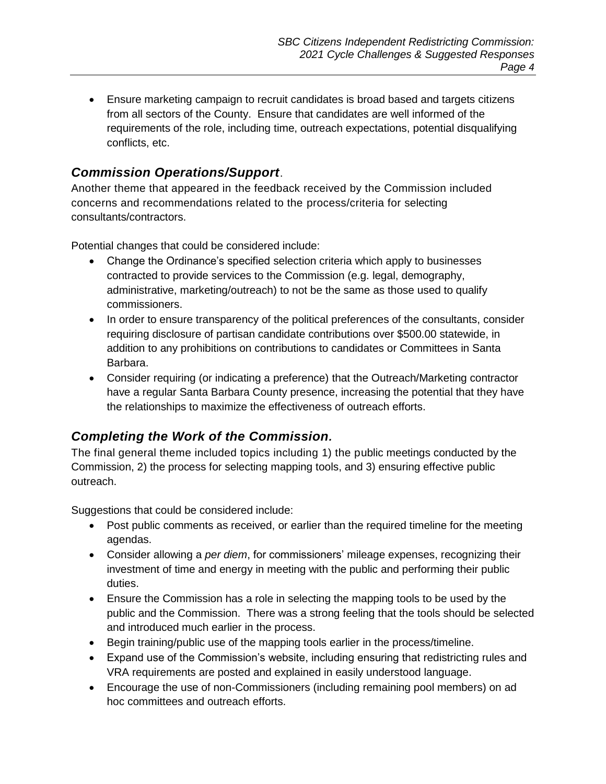Ensure marketing campaign to recruit candidates is broad based and targets citizens from all sectors of the County. Ensure that candidates are well informed of the requirements of the role, including time, outreach expectations, potential disqualifying conflicts, etc.

#### *Commission Operations/Support*.

Another theme that appeared in the feedback received by the Commission included concerns and recommendations related to the process/criteria for selecting consultants/contractors.

Potential changes that could be considered include:

- Change the Ordinance's specified selection criteria which apply to businesses contracted to provide services to the Commission (e.g. legal, demography, administrative, marketing/outreach) to not be the same as those used to qualify commissioners.
- In order to ensure transparency of the political preferences of the consultants, consider requiring disclosure of partisan candidate contributions over \$500.00 statewide, in addition to any prohibitions on contributions to candidates or Committees in Santa Barbara.
- Consider requiring (or indicating a preference) that the Outreach/Marketing contractor have a regular Santa Barbara County presence, increasing the potential that they have the relationships to maximize the effectiveness of outreach efforts.

#### *Completing the Work of the Commission.*

The final general theme included topics including 1) the public meetings conducted by the Commission, 2) the process for selecting mapping tools, and 3) ensuring effective public outreach.

Suggestions that could be considered include:

- Post public comments as received, or earlier than the required timeline for the meeting agendas.
- Consider allowing a *per diem*, for commissioners' mileage expenses, recognizing their investment of time and energy in meeting with the public and performing their public duties.
- Ensure the Commission has a role in selecting the mapping tools to be used by the public and the Commission. There was a strong feeling that the tools should be selected and introduced much earlier in the process.
- Begin training/public use of the mapping tools earlier in the process/timeline.
- Expand use of the Commission's website, including ensuring that redistricting rules and VRA requirements are posted and explained in easily understood language.
- Encourage the use of non-Commissioners (including remaining pool members) on ad hoc committees and outreach efforts.